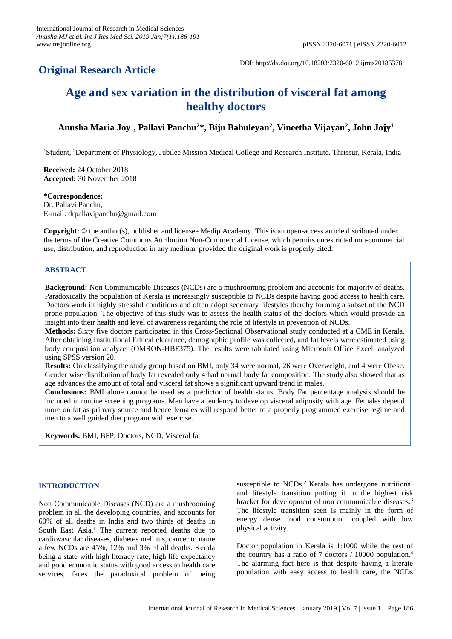# **Original Research Article**

DOI: http://dx.doi.org/10.18203/2320-6012.ijrms20185378

# **Age and sex variation in the distribution of visceral fat among healthy doctors**

Anusha Maria Joy<sup>1</sup>, Pallavi Panchu<sup>2</sup>\*, Biju Bahuleyan<sup>2</sup>, Vineetha Vijayan<sup>2</sup>, John Jojy<sup>1</sup>

<sup>1</sup>Student, <sup>2</sup>Department of Physiology, Jubilee Mission Medical College and Research Institute, Thrissur, Kerala, India

**Received:** 24 October 2018 **Accepted:** 30 November 2018

## **\*Correspondence:**

Dr. Pallavi Panchu, E-mail: drpallavipanchu@gmail.com

**Copyright:** © the author(s), publisher and licensee Medip Academy. This is an open-access article distributed under the terms of the Creative Commons Attribution Non-Commercial License, which permits unrestricted non-commercial use, distribution, and reproduction in any medium, provided the original work is properly cited.

# **ABSTRACT**

**Background:** Non Communicable Diseases (NCDs) are a mushrooming problem and accounts for majority of deaths. Paradoxically the population of Kerala is increasingly susceptible to NCDs despite having good access to health care. Doctors work in highly stressful conditions and often adopt sedentary lifestyles thereby forming a subset of the NCD prone population. The objective of this study was to assess the health status of the doctors which would provide an insight into their health and level of awareness regarding the role of lifestyle in prevention of NCDs.

**Methods:** Sixty five doctors participated in this Cross-Sectional Observational study conducted at a CME in Kerala. After obtaining Institutional Ethical clearance, demographic profile was collected, and fat levels were estimated using body composition analyzer (OMRON-HBF375). The results were tabulated using Microsoft Office Excel, analyzed using SPSS version 20.

**Results:** On classifying the study group based on BMI, only 34 were normal, 26 were Overweight, and 4 were Obese. Gender wise distribution of body fat revealed only 4 had normal body fat composition. The study also showed that as age advances the amount of total and visceral fat shows a significant upward trend in males.

**Conclusions:** BMI alone cannot be used as a predictor of health status. Body Fat percentage analysis should be included in routine screening programs. Men have a tendency to develop visceral adiposity with age. Females depend more on fat as primary source and hence females will respond better to a properly programmed exercise regime and men to a well guided diet program with exercise.

**Keywords:** BMI, BFP, Doctors, NCD, Visceral fat

# **INTRODUCTION**

Non Communicable Diseases (NCD) are a mushrooming problem in all the developing countries, and accounts for 60% of all deaths in India and two thirds of deaths in South East Asia.<sup>1</sup> The current reported deaths due to cardiovascular diseases, diabetes mellitus, cancer to name a few NCDs are 45%, 12% and 3% of all deaths. Kerala being a state with high literacy rate, high life expectancy and good economic status with good access to health care services, faces the paradoxical problem of being susceptible to NCDs.<sup>2</sup> Kerala has undergone nutritional and lifestyle transition putting it in the highest risk bracket for development of non communicable diseases. 3 The lifestyle transition seen is mainly in the form of energy dense food consumption coupled with low physical activity.

Doctor population in Kerala is 1:1000 while the rest of the country has a ratio of 7 doctors / 10000 population.<sup>4</sup> The alarming fact here is that despite having a literate population with easy access to health care, the NCDs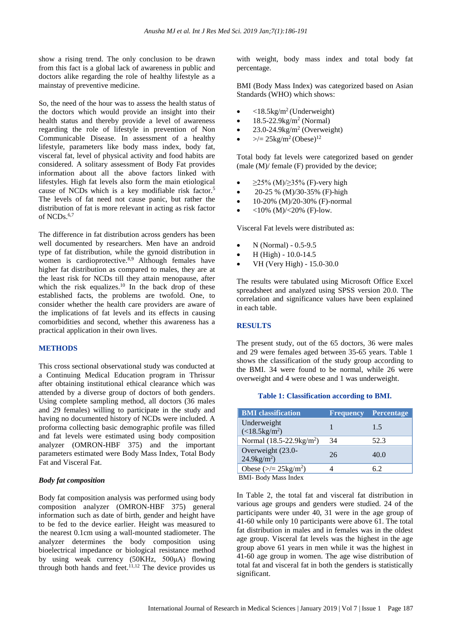show a rising trend. The only conclusion to be drawn from this fact is a global lack of awareness in public and doctors alike regarding the role of healthy lifestyle as a mainstay of preventive medicine.

So, the need of the hour was to assess the health status of the doctors which would provide an insight into their health status and thereby provide a level of awareness regarding the role of lifestyle in prevention of Non Communicable Disease. In assessment of a healthy lifestyle, parameters like body mass index, body fat, visceral fat, level of physical activity and food habits are considered. A solitary assessment of Body Fat provides information about all the above factors linked with lifestyles. High fat levels also form the main etiological cause of NCDs which is a key modifiable risk factor.<sup>5</sup> The levels of fat need not cause panic, but rather the distribution of fat is more relevant in acting as risk factor of NCDs.<sup>6,7</sup>

The difference in fat distribution across genders has been well documented by researchers. Men have an android type of fat distribution, while the gynoid distribution in women is cardioprotective.<sup>8,9</sup> Although females have higher fat distribution as compared to males, they are at the least risk for NCDs till they attain menopause, after which the risk equalizes.<sup>10</sup> In the back drop of these established facts, the problems are twofold. One, to consider whether the health care providers are aware of the implications of fat levels and its effects in causing comorbidities and second, whether this awareness has a practical application in their own lives.

# **METHODS**

This cross sectional observational study was conducted at a Continuing Medical Education program in Thrissur after obtaining institutional ethical clearance which was attended by a diverse group of doctors of both genders. Using complete sampling method, all doctors (36 males and 29 females) willing to participate in the study and having no documented history of NCDs were included. A proforma collecting basic demographic profile was filled and fat levels were estimated using body composition analyzer (OMRON-HBF 375) and the important parameters estimated were Body Mass Index, Total Body Fat and Visceral Fat.

# *Body fat composition*

Body fat composition analysis was performed using body composition analyzer (OMRON-HBF 375) general information such as date of birth, gender and height have to be fed to the device earlier. Height was measured to the nearest 0.1cm using a wall-mounted stadiometer. The analyzer determines the body composition using bioelectrical impedance or biological resistance method by using weak currency (50KHz, 500μA) flowing through both hands and feet. $11,12$  The device provides us with weight, body mass index and total body fat percentage.

BMI (Body Mass Index) was categorized based on Asian Standards (WHO) which shows:

- $\bullet$  <18.5kg/m<sup>2</sup> (Underweight)
- $18.5 22.9$  kg/m<sup>2</sup> (Normal)
- $\bullet$  23.0-24.9kg/m<sup>2</sup> (Overweight)
- $>>=25\text{kg/m}^2(\text{Obese})^{12}$

Total body fat levels were categorized based on gender (male (M)/ female (F) provided by the device;

- $\geq$ 25% (M)/ $\geq$ 35% (F)-very high
- 20-25 % (M)/30-35% (F)-high
- $10-20\%$  (M)/20-30% (F)-normal
- $<$ 10% (M)/ $<$ 20% (F)-low.

Visceral Fat levels were distributed as:

- N (Normal) 0.5-9.5
- $H$  (High) 10.0-14.5
- VH (Very High) 15.0-30.0

The results were tabulated using Microsoft Office Excel spreadsheet and analyzed using SPSS version 20.0. The correlation and significance values have been explained in each table.

# **RESULTS**

The present study, out of the 65 doctors, 36 were males and 29 were females aged between 35-65 years. Table 1 shows the classification of the study group according to the BMI. 34 were found to be normal, while 26 were overweight and 4 were obese and 1 was underweight.

#### **Table 1: Classification according to BMI.**

| <b>BMI</b> classification                       | <b>Frequency</b> | <b>Percentage</b> |
|-------------------------------------------------|------------------|-------------------|
| Underweight<br>$(<18.5 \text{kg/m}^2)$          |                  | 1.5               |
| Normal $(18.5 - 22.9 \text{kg/m}^2)$            | 34               | 52.3              |
| Overweight (23.0-<br>$24.9$ kg/m <sup>2</sup> ) | 26               | 40.0              |
| Obese ( $\ge$ /= 25kg/m <sup>2</sup> )          |                  | 6.2               |
| $DMI$ $Dod$ , $Mosc$ $Lod$ ,                    |                  |                   |

BMI- Body Mass Index

In Table 2, the total fat and visceral fat distribution in various age groups and genders were studied. 24 of the participants were under 40, 31 were in the age group of 41-60 while only 10 participants were above 61. The total fat distribution in males and in females was in the oldest age group. Visceral fat levels was the highest in the age group above 61 years in men while it was the highest in 41-60 age group in women. The age wise distribution of total fat and visceral fat in both the genders is statistically significant.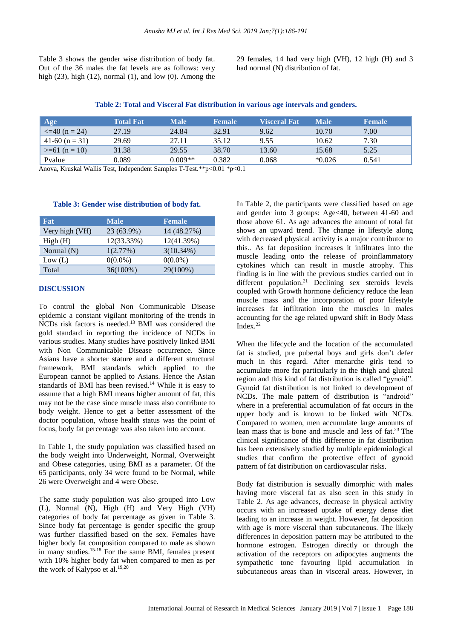Table 3 shows the gender wise distribution of body fat. Out of the 36 males the fat levels are as follows: very high  $(23)$ , high  $(12)$ , normal  $(1)$ , and low  $(0)$ . Among the 29 females, 14 had very high (VH), 12 high (H) and 3 had normal (N) distribution of fat.

**Table 2: Total and Visceral Fat distribution in various age intervals and genders.**

| Age                 | <b>Total Fat</b> | Male      | <b>Female</b> | <b>Visceral Fat</b> | Male     | <b>Female</b> |
|---------------------|------------------|-----------|---------------|---------------------|----------|---------------|
| $\leq$ =40 (n = 24) | 27.19            | 24.84     | 32.91         | 9.62                | 10.70    | 7.00          |
| $41-60$ (n = 31)    | 29.69            | 27.11     | 35.12         | 9.55                | 10.62    | 7.30          |
| $>= 61$ (n = 10)    | 31.38            | 29.55     | 38.70         | 13.60               | 15.68    | 5.25          |
| Pvalue              | 0.089            | $0.009**$ | 0.382         | 0.068               | $*0.026$ | 0.541         |

Anova, Kruskal Wallis Test, Independent Samples T-Test.\*\*p<0.01 \*p<0.1

| <b>Fat</b>     | <b>Male</b> | <b>Female</b> |
|----------------|-------------|---------------|
| Very high (VH) | 23 (63.9%)  | 14 (48.27%)   |
| High(H)        | 12(33.33%)  | 12(41.39%)    |
| Normal $(N)$   | 1(2.77%)    | $3(10.34\%)$  |
| Low (L)        | $0(0.0\%)$  | $0(0.0\%)$    |
| Total          | 36(100%)    | 29(100%)      |

# **Table 3: Gender wise distribution of body fat.**

#### **DISCUSSION**

To control the global Non Communicable Disease epidemic a constant vigilant monitoring of the trends in NCDs risk factors is needed.<sup>13</sup> BMI was considered the gold standard in reporting the incidence of NCDs in various studies. Many studies have positively linked BMI with Non Communicable Disease occurrence. Since Asians have a shorter stature and a different structural framework, BMI standards which applied to the European cannot be applied to Asians. Hence the Asian standards of BMI has been revised.<sup>14</sup> While it is easy to assume that a high BMI means higher amount of fat, this may not be the case since muscle mass also contribute to body weight. Hence to get a better assessment of the doctor population, whose health status was the point of focus, body fat percentage was also taken into account.

In Table 1, the study population was classified based on the body weight into Underweight, Normal, Overweight and Obese categories, using BMI as a parameter. Of the 65 participants, only 34 were found to be Normal, while 26 were Overweight and 4 were Obese.

The same study population was also grouped into Low (L), Normal (N), High (H) and Very High (VH) categories of body fat percentage as given in Table 3. Since body fat percentage is gender specific the group was further classified based on the sex. Females have higher body fat composition compared to male as shown in many studies.<sup>15-18</sup> For the same BMI, females present with 10% higher body fat when compared to men as per the work of Kalypso et al.<sup>19,20</sup>

In Table 2, the participants were classified based on age and gender into 3 groups: Age<40, between 41-60 and those above 61. As age advances the amount of total fat shows an upward trend. The change in lifestyle along with decreased physical activity is a major contributor to this.. As fat deposition increases it infiltrates into the muscle leading onto the release of proinflammatory cytokines which can result in muscle atrophy. This finding is in line with the previous studies carried out in different population.<sup>21</sup> Declining sex steroids levels coupled with Growth hormone deficiency reduce the lean muscle mass and the incorporation of poor lifestyle increases fat infiltration into the muscles in males accounting for the age related upward shift in Body Mass Index.<sup>22</sup>

When the lifecycle and the location of the accumulated fat is studied, pre pubertal boys and girls don't defer much in this regard. After menarche girls tend to accumulate more fat particularly in the thigh and gluteal region and this kind of fat distribution is called "gynoid". Gynoid fat distribution is not linked to development of NCDs. The male pattern of distribution is "android" where in a preferential accumulation of fat occurs in the upper body and is known to be linked with NCDs. Compared to women, men accumulate large amounts of lean mass that is bone and muscle and less of fat.<sup>23</sup> The clinical significance of this difference in fat distribution has been extensively studied by multiple epidemiological studies that confirm the protective effect of gynoid pattern of fat distribution on cardiovascular risks.

Body fat distribution is sexually dimorphic with males having more visceral fat as also seen in this study in Table 2. As age advances, decrease in physical activity occurs with an increased uptake of energy dense diet leading to an increase in weight. However, fat deposition with age is more visceral than subcutaneous. The likely differences in deposition pattern may be attributed to the hormone estrogen. Estrogen directly or through the activation of the receptors on adipocytes augments the sympathetic tone favouring lipid accumulation in subcutaneous areas than in visceral areas. However, in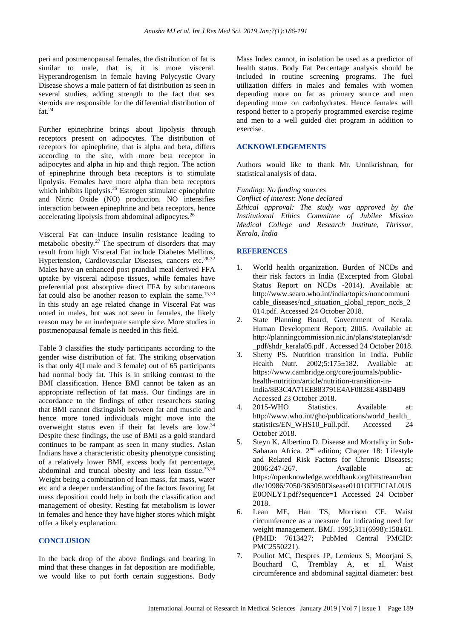peri and postmenopausal females, the distribution of fat is similar to male, that is, it is more visceral. Hyperandrogenism in female having Polycystic Ovary Disease shows a male pattern of fat distribution as seen in several studies, adding strength to the fact that sex steroids are responsible for the differential distribution of fat.<sup>24</sup>

Further epinephrine brings about lipolysis through receptors present on adipocytes. The distribution of receptors for epinephrine, that is alpha and beta, differs according to the site, with more beta receptor in adipocytes and alpha in hip and thigh region. The action of epinephrine through beta receptors is to stimulate lipolysis. Females have more alpha than beta receptors which inhibits lipolysis.<sup>25</sup> Estrogen stimulate epinephrine and Nitric Oxide (NO) production. NO intensifies interaction between epinephrine and beta receptors, hence accelerating lipolysis from abdominal adipocytes.<sup>26</sup>

Visceral Fat can induce insulin resistance leading to metabolic obesity*.* <sup>27</sup> The spectrum of disorders that may result from high Visceral Fat include Diabetes Mellitus, Hypertension, Cardiovascular Diseases, cancers etc.<sup>28-32</sup> Males have an enhanced post prandial meal derived FFA uptake by visceral adipose tissues, while females have preferential post absorptive direct FFA by subcutaneous fat could also be another reason to explain the same.<sup>15,33</sup> In this study an age related change in Visceral Fat was noted in males, but was not seen in females, the likely reason may be an inadequate sample size. More studies in postmenopausal female is needed in this field.

Table 3 classifies the study participants according to the gender wise distribution of fat. The striking observation is that only 4(I male and 3 female) out of 65 participants had normal body fat. This is in striking contrast to the BMI classification. Hence BMI cannot be taken as an appropriate reflection of fat mass. Our findings are in accordance to the findings of other researchers stating that BMI cannot distinguish between fat and muscle and hence more toned individuals might move into the overweight status even if their fat levels are low.<sup>34</sup> Despite these findings, the use of BMI as a gold standard continues to be rampant as seen in many studies. Asian Indians have a characteristic obesity phenotype consisting of a relatively lower BMI, excess body fat percentage, abdominal and truncal obesity and less lean tissue.35,36 Weight being a combination of lean mass, fat mass, water etc and a deeper understanding of the factors favoring fat mass deposition could help in both the classification and management of obesity. Resting fat metabolism is lower in females and hence they have higher stores which might offer a likely explanation.

#### **CONCLUSION**

In the back drop of the above findings and bearing in mind that these changes in fat deposition are modifiable, we would like to put forth certain suggestions. Body Mass Index cannot, in isolation be used as a predictor of health status. Body Fat Percentage analysis should be included in routine screening programs. The fuel utilization differs in males and females with women depending more on fat as primary source and men depending more on carbohydrates. Hence females will respond better to a properly programmed exercise regime and men to a well guided diet program in addition to exercise.

### **ACKNOWLEDGEMENTS**

Authors would like to thank Mr. Unnikrishnan, for statistical analysis of data.

#### *Funding: No funding sources*

*Conflict of interest: None declared*

*Ethical approval: The study was approved by the Institutional Ethics Committee of Jubilee Mission Medical College and Research Institute, Thrissur, Kerala, India*

### **REFERENCES**

- 1. World health organization. Burden of NCDs and their risk factors in India (Excerpted from Global Status Report on NCDs -2014). Available at: http://www.searo.who.int/india/topics/noncommuni cable diseases/ncd situation global report ncds 2 014.pdf. Accessed 24 October 2018.
- 2. State Planning Board, Government of Kerala. Human Development Report; 2005. Available at: http://planningcommission.nic.in/plans/stateplan/sdr \_pdf/shdr\_kerala05.pdf . Accessed 24 October 2018.
- 3. Shetty PS. Nutrition transition in India. Public Health Nutr. 2002:5:175±182. Available at: https://www.cambridge.org/core/journals/publichealth-nutrition/article/nutrition-transition-inindia/8B3C4A71EE883791E4AF0828E43BD4B9 Accessed 23 October 2018.
- 4. 2015-WHO Statistics. Available at: http://www.who.int/gho/publications/world\_health\_ statistics/EN\_WHS10\_Full.pdf. Accessed 24 October 2018.
- 5. Steyn K, Albertino D. Disease and Mortality in Sub-Saharan Africa. 2nd edition; Chapter 18: Lifestyle and Related Risk Factors for Chronic Diseases; 2006:247-267. Available at: https://openknowledge.worldbank.org/bitstream/han dle/10986/7050/363050Disease0101OFFICIAL0US E0ONLY1.pdf?sequence=1 Accessed 24 October 2018.
- 6. Lean ME, Han TS, Morrison CE. Waist circumference as a measure for indicating need for weight management. BMJ. 1995;311(6998):158±61. (PMID: 7613427; PubMed Central PMCID: PMC2550221).
- 7. Pouliot MC, Despres JP, Lemieux S, Moorjani S, Bouchard C, Tremblay A, et al. Waist circumference and abdominal sagittal diameter: best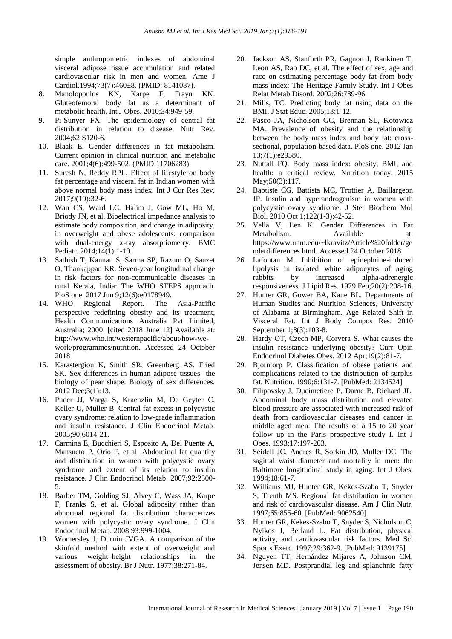simple anthropometric indexes of abdominal visceral adipose tissue accumulation and related cardiovascular risk in men and women. Ame J Cardiol.1994;73(7):460±8. (PMID: 8141087).

- 8. Manolopoulos KN, Karpe F, Frayn KN. Gluteofemoral body fat as a determinant of metabolic health. Int J Obes. 2010;34:949-59.
- 9. Pi-Sunyer FX. The epidemiology of central fat distribution in relation to disease. Nutr Rev. 2004;62:S120-6.
- 10. Blaak E. Gender differences in fat metabolism. Current opinion in clinical nutrition and metabolic care. 2001;4(6):499-502. (PMID:11706283).
- 11. Suresh N, Reddy RPL. Effect of lifestyle on body fat percentage and visceral fat in Indian women with above normal body mass index. Int J Cur Res Rev. 2017;9(19):32-6.
- 12. Wan CS, Ward LC, Halim J, Gow ML, Ho M, Briody JN, et al. Bioelectrical impedance analysis to estimate body composition, and change in adiposity, in overweight and obese adolescents: comparison with dual-energy x-ray absorptiometry. BMC Pediatr. 2014;14(1):1-10.
- 13. Sathish T, Kannan S, Sarma SP, Razum O, Sauzet O, Thankappan KR. Seven-year longitudinal change in risk factors for non-communicable diseases in rural Kerala, India: The WHO STEPS approach. PloS one. 2017 Jun 9;12(6):e0178949.
- 14. WHO Regional Report. The Asia-Pacific perspective redefining obesity and its treatment, Health Communications Australia Pvt Limited, Australia; 2000. [cited 2018 June 12] Available at: http://www.who.int/westernpacific/about/how-wework/programmes/nutrition. Accessed 24 October 2018
- 15. Karastergiou K, Smith SR, Greenberg AS, Fried SK. Sex differences in human adipose tissues- the biology of pear shape. Biology of sex differences. 2012 Dec;3(1):13.
- 16. Puder JJ, Varga S, Kraenzlin M, De Geyter C, Keller U, Müller B. Central fat excess in polycystic ovary syndrome: relation to low-grade inflammation and insulin resistance. J Clin Endocrinol Metab. 2005;90:6014-21.
- 17. Carmina E, Bucchieri S, Esposito A, Del Puente A, Mansueto P, Orio F, et al. Abdominal fat quantity and distribution in women with polycystic ovary syndrome and extent of its relation to insulin resistance. J Clin Endocrinol Metab. 2007;92:2500- 5.
- 18. Barber TM, Golding SJ, Alvey C, Wass JA, Karpe F, Franks S, et al. Global adiposity rather than abnormal regional fat distribution characterizes women with polycystic ovary syndrome. J Clin Endocrinol Metab. 2008;93:999-1004.
- 19. Womersley J, Durnin JVGA. A comparison of the skinfold method with extent of overweight and various weight–height relationships in the assessment of obesity. Br J Nutr. 1977;38:271-84.
- 20. Jackson AS, Stanforth PR, Gagnon J, Rankinen T, Leon AS, Rao DC, et al. The effect of sex, age and race on estimating percentage body fat from body mass index: The Heritage Family Study. Int J Obes Relat Metab Disord. 2002;26:789-96.
- 21. Mills, TC. Predicting body fat using data on the BMI. J Stat Educ. 2005;13:1-12.
- 22. Pasco JA, Nicholson GC, Brennan SL, Kotowicz MA. Prevalence of obesity and the relationship between the body mass index and body fat: crosssectional, population-based data. PloS one. 2012 Jan 13;7(1):e29580.
- 23. Nuttall FQ. Body mass index: obesity, BMI, and health: a critical review. Nutrition today. 2015 May: 50(3): 117.
- 24. Baptiste CG, Battista MC, Trottier A, Baillargeon JP. Insulin and hyperandrogenism in women with polycystic ovary syndrome. J Ster Biochem Mol Biol. 2010 Oct 1;122(1-3):42-52.
- 25. Vella V, Len K. Gender Differences in Fat Metabolism. Available at: https://www.unm.edu/~lkravitz/Article%20folder/ge nderdifferences.html. Accessed 24 October 2018
- 26. Lafontan M. Inhibition of epinephrine-induced lipolysis in isolated white adipocytes of aging rabbits by increased alpha-adrenergic responsiveness. J Lipid Res. 1979 Feb;20(2):208-16.
- 27. Hunter GR, Gower BA, Kane BL. Departments of Human Studies and Nutrition Sciences, University of Alabama at Birmingham. Age Related Shift in Visceral Fat. Int J Body Compos Res. 2010 September 1;8(3):103-8.
- 28. Hardy OT, Czech MP, Corvera S. What causes the insulin resistance underlying obesity? Curr Opin Endocrinol Diabetes Obes. 2012 Apr;19(2):81-7.
- 29. Bjorntorp P. Classification of obese patients and complications related to the distribution of surplus fat. Nutrition. 1990;6:131-7. [PubMed: 2134524]
- 30. Filipovsky J, Ducimetiere P, Darne B, Richard JL. Abdominal body mass distribution and elevated blood pressure are associated with increased risk of death from cardiovascular diseases and cancer in middle aged men. The results of a 15 to 20 year follow up in the Paris prospective study I. Int J Obes. 1993;17:197-203.
- 31. Seidell JC, Andres R, Sorkin JD, Muller DC. The sagittal waist diameter and mortality in men: the Baltimore longitudinal study in aging. Int J Obes. 1994;18:61-7.
- 32. Williams MJ, Hunter GR, Kekes-Szabo T, Snyder S, Treuth MS. Regional fat distribution in women and risk of cardiovascular disease. Am J Clin Nutr. 1997;65:855-60. [PubMed: 9062540]
- 33. Hunter GR, Kekes-Szabo T, Snyder S, Nicholson C, Nyikos I, Berland L. Fat distribution, physical activity, and cardiovascular risk factors. Med Sci Sports Exerc. 1997;29:362-9. [PubMed: 9139175]
- 34. Nguyen TT, Hernández Mijares A, Johnson CM, Jensen MD. Postprandial leg and splanchnic fatty